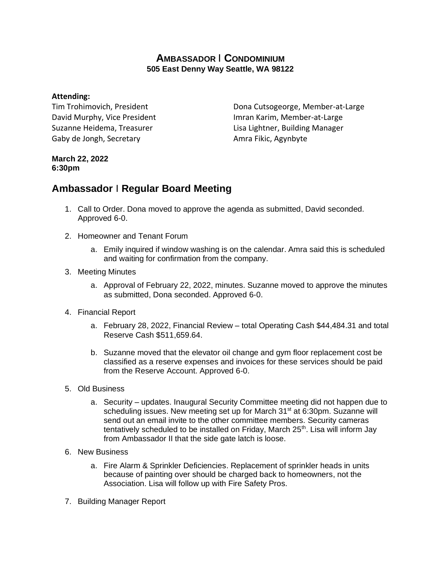## **AMBASSADOR** I **CONDOMINIUM 505 East Denny Way Seattle, WA 98122**

## **Attending:**

Tim Trohimovich, President David Murphy, Vice President Suzanne Heidema, Treasurer Gaby de Jongh, Secretary

Dona Cutsogeorge, Member-at-Large Imran Karim, Member-at-Large Lisa Lightner, Building Manager Amra Fikic, Agynbyte

## **March 22, 2022 6:30pm**

## **Ambassador** I **Regular Board Meeting**

- 1. Call to Order. Dona moved to approve the agenda as submitted, David seconded. Approved 6-0.
- 2. Homeowner and Tenant Forum
	- a. Emily inquired if window washing is on the calendar. Amra said this is scheduled and waiting for confirmation from the company.
- 3. Meeting Minutes
	- a. Approval of February 22, 2022, minutes. Suzanne moved to approve the minutes as submitted, Dona seconded. Approved 6-0.
- 4. Financial Report
	- a. February 28, 2022, Financial Review total Operating Cash \$44,484.31 and total Reserve Cash \$511,659.64.
	- b. Suzanne moved that the elevator oil change and gym floor replacement cost be classified as a reserve expenses and invoices for these services should be paid from the Reserve Account. Approved 6-0.
- 5. Old Business
	- a. Security updates. Inaugural Security Committee meeting did not happen due to scheduling issues. New meeting set up for March 31<sup>st</sup> at 6:30pm. Suzanne will send out an email invite to the other committee members. Security cameras tentatively scheduled to be installed on Friday, March  $25<sup>th</sup>$ . Lisa will inform Jay from Ambassador II that the side gate latch is loose.
- 6. New Business
	- a. Fire Alarm & Sprinkler Deficiencies. Replacement of sprinkler heads in units because of painting over should be charged back to homeowners, not the Association. Lisa will follow up with Fire Safety Pros.
- 7. Building Manager Report